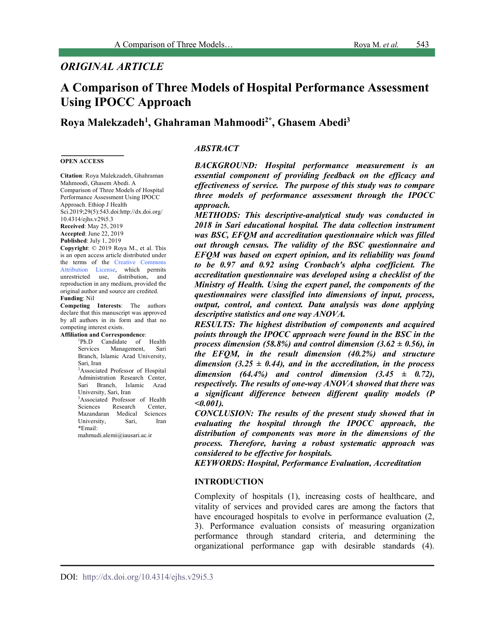## *ORIGINAL ARTICLE*

# **A Comparison of Three Models of Hospital Performance Assessment Using IPOCC Approach**

## **Roya Malekzadeh1 , Ghahraman Mahmoodi2\* , Ghasem Abedi3**

#### **OPEN ACCESS**

**Citation**: Roya Malekzadeh, Ghahraman Mahmoodi, Ghasem Abedi. A Comparison of Three Models of Hospital Performance Assessment Using IPOCC Approach. Ethiop J Health Sci.2019;29(5):543.doi:http://dx.doi.org/ 10.4314/ejhs.v29i5.3 **Received**: May 25, 2019 **Accepted**: June 22, 2019 **Published**: July 1, 2019 **Copyright**: © 2019 Roya M., et al. This is an open access article distributed under the terms of the Creative Commons Attribution License, which permits unrestricted use, distribution, and

reproduction in any medium, provided the original author and source are credited. **Funding**: Nil **Competing Interests**: The authors declare that this manuscript was approved

by all authors in its form and that no competing interest exists.

**Affiliation and Correspondence**:

1 Ph.D Candidate of Health Services Management, Sari Branch, Islamic Azad University, Sari, Iran 2 Associated Professor of Hospital Administration Research Center, Sari Branch, Islamic Azad University, Sari, Iran 3 Associated Professor of Health Sciences Research Center, Mazandaran Medical Sciences University, Sari, Iran \*Email:

mahmudi.alemi@iausari.ac.ir

#### *ABSTRACT*

*BACKGROUND: Hospital performance measurement is an essential component of providing feedback on the efficacy and effectiveness of service. The purpose of this study was to compare three models of performance assessment through the IPOCC approach.*

*METHODS: This descriptive-analytical study was conducted in 2018 in Sari educational hospital. The data collection instrument was BSC, EFQM and accreditation questionnaire which was filled out through census. The validity of the BSC questionnaire and EFQM was based on expert opinion, and its reliability was found to be 0.97 and 0.92 using Cronbach's alpha coefficient. The accreditation questionnaire was developed using a checklist of the Ministry of Health. Using the expert panel, the components of the questionnaires were classified into dimensions of input, process, output, control, and context. Data analysis was done applying descriptive statistics and one way ANOVA.*

*RESULTS: The highest distribution of components and acquired points through the IPOCC approach were found in the BSC in the process dimension (58.8%) and control dimension (3.62*  $\pm$  *0.56), in the EFQM, in the result dimension (40.2%) and structure dimension (3.25 ± 0.44), and in the accreditation, in the process dimension (64.4%) and control dimension (3.45*  $\pm$  *0.72), respectively. The results of one-way ANOVA showed that there was a significant difference between different quality models (P <0.001).*

*CONCLUSION: The results of the present study showed that in evaluating the hospital through the IPOCC approach, the distribution of components was more in the dimensions of the process. Therefore, having a robust systematic approach was considered to be effective for hospitals.*

*KEYWORDS: Hospital, Performance Evaluation, Accreditation*

#### **INTRODUCTION**

Complexity of hospitals (1), increasing costs of healthcare, and vitality of services and provided cares are among the factors that have encouraged hospitals to evolve in performance evaluation (2, 3). Performance evaluation consists of measuring organization performance through standard criteria, and determining the organizational performance gap with desirable standards (4).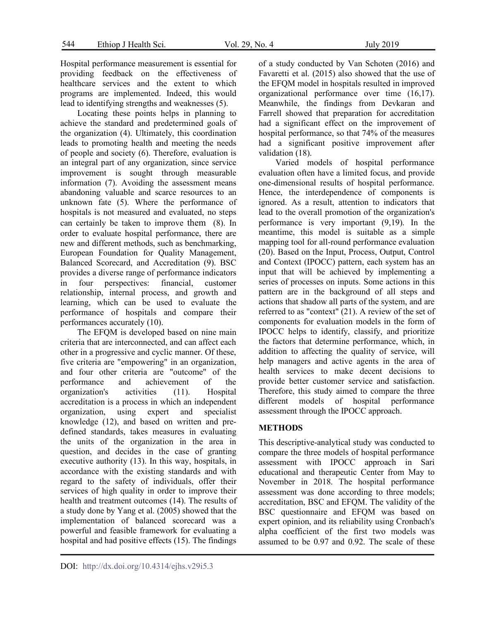Ethiop J Health Sci. Vol. 29, No. 4 July 2019

Hospital performance measurement is essential for providing feedback on the effectiveness of healthcare services and the extent to which programs are implemented. Indeed, this would lead to identifying strengths and weaknesses (5).

Locating these points helps in planning to achieve the standard and predetermined goals of the organization (4). Ultimately, this coordination leads to promoting health and meeting the needs of people and society (6). Therefore, evaluation is an integral part of any organization, since service improvement is sought through measurable information (7). Avoiding the assessment means abandoning valuable and scarce resources to an unknown fate (5). Where the performance of hospitals is not measured and evaluated, no steps can certainly be taken to improve them (8). In order to evaluate hospital performance, there are new and different methods, such as benchmarking, European Foundation for Quality Management, Balanced Scorecard, and Accreditation (9). BSC provides a diverse range of performance indicators in four perspectives: financial, customer relationship, internal process, and growth and learning, which can be used to evaluate the performance of hospitals and compare their performances accurately (10).

The EFQM is developed based on nine main criteria that are interconnected, and can affect each other in a progressive and cyclic manner. Of these, five criteria are "empowering" in an organization, and four other criteria are "outcome" of the performance and achievement of the organization's activities (11). Hospital accreditation is a process in which an independent organization, using expert and specialist knowledge (12), and based on written and predefined standards, takes measures in evaluating the units of the organization in the area in question, and decides in the case of granting executive authority (13). In this way, hospitals, in accordance with the existing standards and with regard to the safety of individuals, offer their services of high quality in order to improve their health and treatment outcomes (14). The results of a study done by Yang et al. (2005) showed that the implementation of balanced scorecard was a powerful and feasible framework for evaluating a hospital and had positive effects (15). The findings

Favaretti et al. (2015) also showed that the use of the EFQM model in hospitals resulted in improved organizational performance over time (16,17). Meanwhile, the findings from Devkaran and Farrell showed that preparation for accreditation had a significant effect on the improvement of hospital performance, so that 74% of the measures had a significant positive improvement after validation (18). Varied models of hospital performance

of a study conducted by Van Schoten (2016) and

evaluation often have a limited focus, and provide one-dimensional results of hospital performance. Hence, the interdependence of components is ignored. As a result, attention to indicators that lead to the overall promotion of the organization's performance is very important (9,19). In the meantime, this model is suitable as a simple mapping tool for all-round performance evaluation (20). Based on the Input, Process, Output, Control and Context (IPOCC) pattern, each system has an input that will be achieved by implementing a series of processes on inputs. Some actions in this pattern are in the background of all steps and actions that shadow all parts of the system, and are referred to as "context" (21). A review of the set of components for evaluation models in the form of IPOCC helps to identify, classify, and prioritize the factors that determine performance, which, in addition to affecting the quality of service, will help managers and active agents in the area of health services to make decent decisions to provide better customer service and satisfaction. Therefore, this study aimed to compare the three different models of hospital performance assessment through the IPOCC approach.

#### **METHODS**

This descriptive-analytical study was conducted to compare the three models of hospital performance assessment with IPOCC approach in Sari educational and therapeutic Center from May to November in 2018. The hospital performance assessment was done according to three models; accreditation, BSC and EFQM. The validity of the BSC questionnaire and EFQM was based on expert opinion, and its reliability using Cronbach's alpha coefficient of the first two models was assumed to be 0.97 and 0.92. The scale of these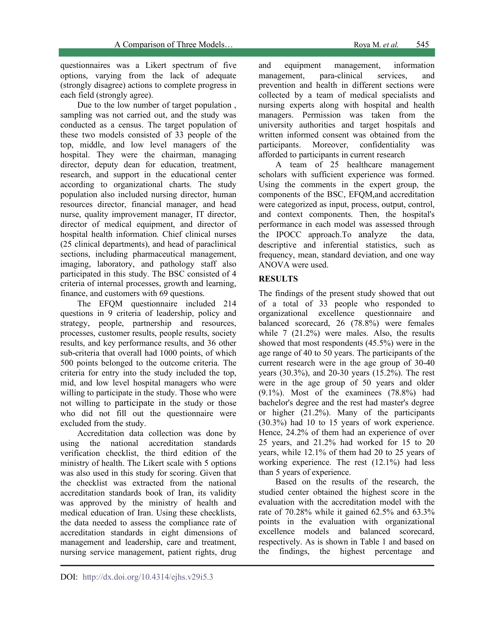questionnaires was a Likert spectrum of five options, varying from the lack of adequate (strongly disagree) actions to complete progress in each field (strongly agree).

Due to the low number of target population , sampling was not carried out, and the study was conducted as a census. The target population of these two models consisted of 33 people of the top, middle, and low level managers of the hospital. They were the chairman, managing director, deputy dean for education, treatment, research, and support in the educational center according to organizational charts. The study population also included nursing director, human resources director, financial manager, and head nurse, quality improvement manager, IT director, director of medical equipment, and director of hospital health information. Chief clinical nurses (25 clinical departments), and head of paraclinical sections, including pharmaceutical management, imaging, laboratory, and pathology staff also participated in this study. The BSC consisted of 4 criteria of internal processes, growth and learning, finance, and customers with 69 questions.

The EFQM questionnaire included 214 questions in 9 criteria of leadership, policy and strategy, people, partnership and resources, processes, customer results, people results, society results, and key performance results, and 36 other sub-criteria that overall had 1000 points, of which 500 points belonged to the outcome criteria. The criteria for entry into the study included the top, mid, and low level hospital managers who were willing to participate in the study. Those who were not willing to participate in the study or those who did not fill out the questionnaire were excluded from the study.

Accreditation data collection was done by using the national accreditation standards verification checklist, the third edition of the ministry of health. The Likert scale with 5 options was also used in this study for scoring. Given that the checklist was extracted from the national accreditation standards book of Iran, its validity was approved by the ministry of health and medical education of Iran. Using these checklists, the data needed to assess the compliance rate of accreditation standards in eight dimensions of management and leadership, care and treatment, nursing service management, patient rights, drug and equipment management, information management, para-clinical services, and prevention and health in different sections were collected by a team of medical specialists and nursing experts along with hospital and health managers. Permission was taken from the university authorities and target hospitals and written informed consent was obtained from the participants. Moreover, confidentiality was afforded to participants in current research

A team of 25 healthcare management scholars with sufficient experience was formed. Using the comments in the expert group, the components of the BSC, EFQM,and accreditation were categorized as input, process, output, control, and context components. Then, the hospital's performance in each model was assessed through the IPOCC approach.To analyze the data, descriptive and inferential statistics, such as frequency, mean, standard deviation, and one way ANOVA were used.

#### **RESULTS**

The findings of the present study showed that out of a total of 33 people who responded to organizational excellence questionnaire and balanced scorecard, 26 (78.8%) were females while 7 (21.2%) were males. Also, the results showed that most respondents (45.5%) were in the age range of 40 to 50 years. The participants of the current research were in the age group of 30-40 years (30.3%), and 20-30 years (15.2%). The rest were in the age group of 50 years and older  $(9.1\%)$ . Most of the examinees  $(78.8\%)$  had bachelor's degree and the rest had master's degree or higher (21.2%). Many of the participants (30.3%) had 10 to 15 years of work experience. Hence, 24.2% of them had an experience of over 25 years, and 21.2% had worked for 15 to 20 years, while 12.1% of them had 20 to 25 years of working experience. The rest (12.1%) had less than 5 years of experience.

Based on the results of the research, the studied center obtained the highest score in the evaluation with the accreditation model with the rate of 70.28% while it gained 62.5% and 63.3% points in the evaluation with organizational excellence models and balanced scorecard, respectively. As is shown in Table 1 and based on the findings, the highest percentage and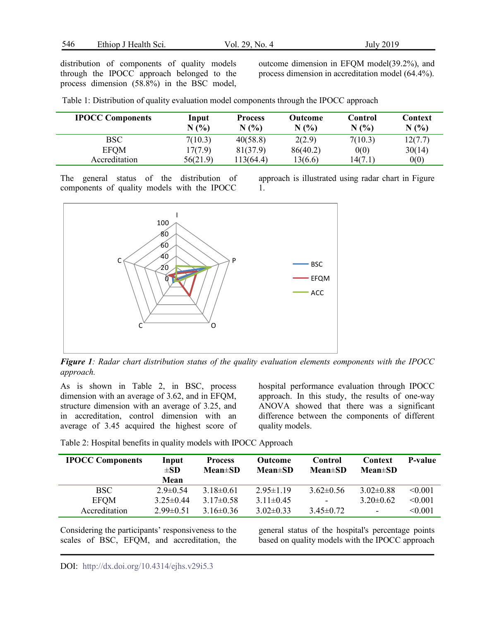distribution of components of quality models through the IPOCC approach belonged to the process dimension (58.8%) in the BSC model, outcome dimension in EFQM model(39.2%), and process dimension in accreditation model (64.4%).

|  |  |  | Table 1: Distribution of quality evaluation model components through the IPOCC approach |
|--|--|--|-----------------------------------------------------------------------------------------|
|--|--|--|-----------------------------------------------------------------------------------------|

| <b>IPOCC Components</b> | Input<br>N(%) | <b>Process</b><br>N(% | <b>Outcome</b><br>N(% | Control<br>N(% | Context<br>N(% |
|-------------------------|---------------|-----------------------|-----------------------|----------------|----------------|
| <b>BSC</b>              | 7(10.3)       | 40(58.8)              | 2(2.9)                | 7(10.3)        | 12(7.7)        |
| <b>EFOM</b>             | 17(7.9)       | 81(37.9)              | 86(40.2)              | 0(0)           | 30(14)         |
| Accreditation           | 56(21.9)      | 113(64.4)             | 13(6.6)               | 14(7.1         | 0(0)           |

The general status of the distribution of components of quality models with the IPOCC

approach is illustrated using radar chart in Figure 1.



*Figure 1: Radar chart distribution status of the quality evaluation elements eomponents with the IPOCC approach.*

As is shown in Table 2, in BSC, process dimension with an average of 3.62, and in EFQM, structure dimension with an average of 3.25, and in accreditation, control dimension with an average of 3.45 acquired the highest score of hospital performance evaluation through IPOCC approach. In this study, the results of one-way ANOVA showed that there was a significant difference between the components of different quality models.

Table 2: Hospital benefits in quality models with IPOCC Approach

| <b>IPOCC Components</b> | Input<br>$\pm$ SD<br>Mean | <b>Process</b><br>$Mean \pm SD$ | <b>Outcome</b><br>$Mean \pm SD$ | Control<br>$Mean \pm SD$ | Context<br>$Mean \pm SD$ | P-value |
|-------------------------|---------------------------|---------------------------------|---------------------------------|--------------------------|--------------------------|---------|
| <b>BSC</b>              | $29\pm0.54$               | $3.18\pm0.61$                   | $2.95 \pm 1.19$                 | $3.62\pm0.56$            | $3.02\pm0.88$            | < 0.001 |
| <b>EFOM</b>             | $3.25 \pm 0.44$           | $3.17\pm0.58$                   | $3.11\pm0.45$                   | $\overline{\phantom{a}}$ | $3.20 \pm 0.62$          | < 0.001 |
| Accreditation           | $2.99 \pm 0.51$           | $3.16\pm0.36$                   | $3.02 \pm 0.33$                 | $3.45\pm0.72$            | $\overline{\phantom{a}}$ | < 0.001 |

Considering the participants' responsiveness to the scales of BSC, EFQM, and accreditation, the general status of the hospital's percentage points based on quality models with the IPOCC approach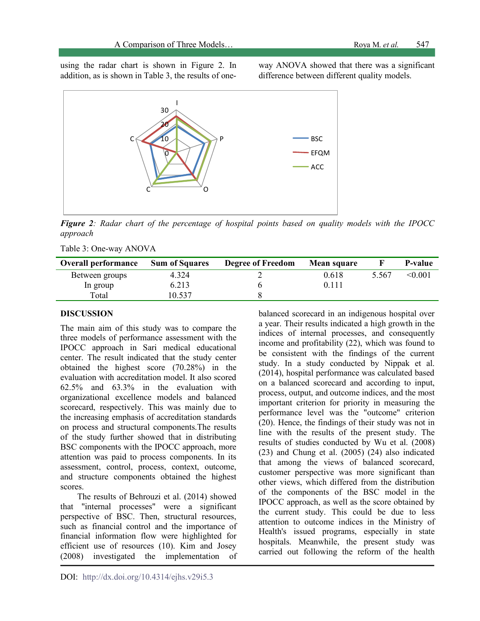using the radar chart is shown in Figure 2. In addition, as is shown in Table 3, the results of oneway ANOVA showed that there was a significant difference between different quality models.



*Figure 2: Radar chart of the percentage of hospital points based on quality models with the IPOCC approach*

| <b>Overall performance</b> | <b>Sum of Squares</b> | <b>Degree of Freedom</b> | Mean square |       | P-value |
|----------------------------|-----------------------|--------------------------|-------------|-------|---------|
| Between groups             | 4.324                 |                          | 0.618       | 5.567 | < 0.001 |
| In group                   | 6.213                 |                          | 0 1 1 1     |       |         |
| Total                      | 10.537                |                          |             |       |         |

## Table 3: One-way ANOVA

#### **DISCUSSION**

The main aim of this study was to compare the three models of performance assessment with the IPOCC approach in Sari medical educational center. The result indicated that the study center obtained the highest score (70.28%) in the evaluation with accreditation model. It also scored 62.5% and 63.3% in the evaluation with organizational excellence models and balanced scorecard, respectively. This was mainly due to the increasing emphasis of accreditation standards on process and structural components.The results of the study further showed that in distributing BSC components with the IPOCC approach, more attention was paid to process components. In its assessment, control, process, context, outcome, and structure components obtained the highest scores.

The results of Behrouzi et al. (2014) showed that "internal processes" were a significant perspective of BSC. Then, structural resources, such as financial control and the importance of financial information flow were highlighted for efficient use of resources (10). Kim and Josey (2008) investigated the implementation of balanced scorecard in an indigenous hospital over a year. Their results indicated a high growth in the indices of internal processes, and consequently income and profitability (22), which was found to be consistent with the findings of the current study. In a study conducted by Nippak et al. (2014), hospital performance was calculated based on a balanced scorecard and according to input, process, output, and outcome indices, and the most important criterion for priority in measuring the performance level was the "outcome" criterion (20). Hence, the findings of their study was not in line with the results of the present study. The results of studies conducted by Wu et al. (2008) (23) and Chung et al. (2005) (24) also indicated that among the views of balanced scorecard, customer perspective was more significant than other views, which differed from the distribution of the components of the BSC model in the IPOCC approach, as well as the score obtained by the current study. This could be due to less attention to outcome indices in the Ministry of Health's issued programs, especially in state hospitals. Meanwhile, the present study was carried out following the reform of the health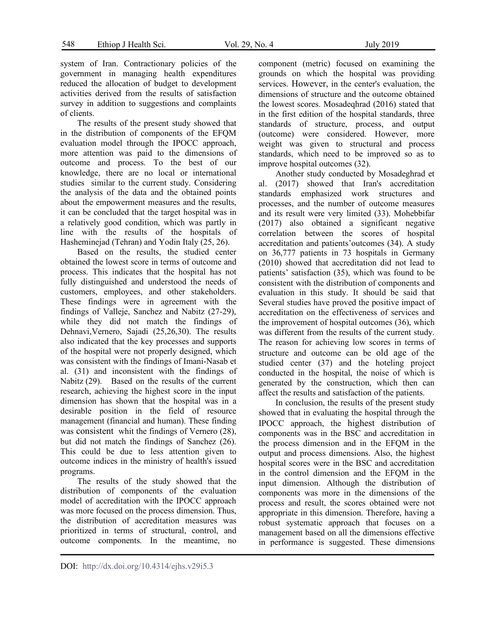system of Iran. Contractionary policies of the government in managing health expenditures reduced the allocation of budget to development activities derived from the results of satisfaction survey in addition to suggestions and complaints of clients.

The results of the present study showed that in the distribution of components of the EFQM evaluation model through the IPOCC approach, more attention was paid to the dimensions of outcome and process. To the best of our knowledge, there are no local or international studies similar to the current study. Considering the analysis of the data and the obtained points about the empowerment measures and the results, it can be concluded that the target hospital was in a relatively good condition, which was partly in line with the results of the hospitals of Hasheminejad (Tehran) and Yodin Italy (25, 26).

Based on the results, the studied center obtained the lowest score in terms of outcome and process. This indicates that the hospital has not fully distinguished and understood the needs of customers, employees, and other stakeholders. These findings were in agreement with the findings of Valleje, Sanchez and Nabitz (27-29), while they did not match the findings of Dehnavi,Vernero, Sajadi (25,26,30). The results also indicated that the key processes and supports of the hospital were not properly designed, which was consistent with the findings of Imani-Nasab et al. (31) and inconsistent with the findings of Nabitz (29). Based on the results of the current research, achieving the highest score in the input dimension has shown that the hospital was in a desirable position in the field of resource management (financial and human). These finding was consistent whit the findings of Vernero (28), but did not match the findings of Sanchez (26). This could be due to less attention given to outcome indices in the ministry of health's issued programs.

The results of the study showed that the distribution of components of the evaluation model of accreditation with the IPOCC approach was more focused on the process dimension. Thus, the distribution of accreditation measures was prioritized in terms of structural, control, and outcome components. In the meantime, no

component (metric) focused on examining the grounds on which the hospital was providing services. However, in the center's evaluation, the dimensions of structure and the outcome obtained the lowest scores. Mosadeqhrad (2016) stated that in the first edition of the hospital standards, three standards of structure, process, and output (outcome) were considered. However, more weight was given to structural and process standards, which need to be improved so as to improve hospital outcomes (32).

Another study conducted by Mosadeghrad et al. (2017) showed that Iran's accreditation standards emphasized work structures and processes, and the number of outcome measures and its result were very limited (33). Mohebbifar (2017) also obtained a significant negative correlation between the scores of hospital accreditation and patients'outcomes (34). A study on 36,777 patients in 73 hospitals in Germany (2010) showed that accreditation did not lead to patients' satisfaction (35), which was found to be consistent with the distribution of components and evaluation in this study. It should be said that Several studies have proved the positive impact of accreditation on the effectiveness of services and the improvement of hospital outcomes (36), which was different from the results of the current study. The reason for achieving low scores in terms of structure and outcome can be old age of the studied center (37) and the hoteling project conducted in the hospital, the noise of which is generated by the construction, which then can affect the results and satisfaction of the patients.

In conclusion, the results of the present study showed that in evaluating the hospital through the IPOCC approach, the highest distribution of components was in the BSC and accreditation in the process dimension and in the EFQM in the output and process dimensions. Also, the highest hospital scores were in the BSC and accreditation in the control dimension and the EFQM in the input dimension. Although the distribution of components was more in the dimensions of the process and result, the scores obtained were not appropriate in this dimension. Therefore, having a robust systematic approach that focuses on a management based on all the dimensions effective in performance is suggested. These dimensions

DOI: http://dx.doi.org/10.4314/ejhs.v29i5.3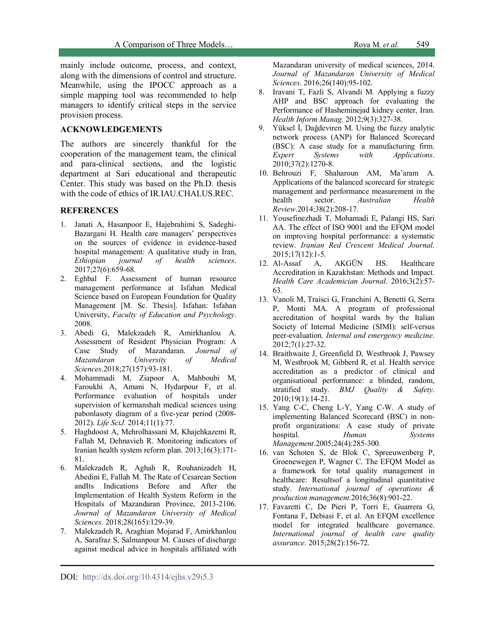mainly include outcome, process, and context, along with the dimensions of control and structure. Meanwhile, using the IPOCC approach as a simple mapping tool was recommended to help managers to identify critical steps in the service provision process.

### **ACKNOWLEDGEMENTS**

The authors are sincerely thankful for the cooperation of the management team, the clinical and para-clinical sections, and the logistic department at Sari educational and therapeutic Center. This study was based on the Ph.D. thesis with the code of ethics of IR.IAU.CHALUS.REC.

#### **REFERENCES**

- 1. Janati A, Hasanpoor E, Hajebrahimi S, Sadeghi-Bazargani H. Health care managers' perspectives on the sources of evidence in evidence-based hospital management: A qualitative study in Iran, *Ethiopian journal of health sciences*. 2017;27(6):659-68.
- 2. Eghbal F. Assessment of human resource management performance at Isfahan Medical Science based on European Foundation for Quality Management [M. Sc. Thesis]. Isfahan: Isfahan University, *Faculty of Education and Psychology*. 2008.
- 3. Abedi G, Malekzadeh R, Amirkhanlou A. Assessment of Resident Physician Program: A Case Study of Mazandaran. *Journal of Mazandaran University of Medical Sciences*.2018;27(157):93-181.
- 4. Mohammadi M, Ziapoor A, Mahboubi M, Faroukhi A, Amani N, Hydarpour F, et al. Performance evaluation of hospitals under supervision of kermanshah medical sciences using pabonlasoty diagram of a five-year period (2008- 2012). *Life SciJ.* 2014;11(1):77.
- 5. Haghdoost A, Mehrolhassani M, Khajehkazemi R, Fallah M, Dehnavieh R. Monitoring indicators of Iranian health system reform plan. 2013;16(3):171- 81.
- 6. Malekzadeh R, Aghah R, Rouhanizadeh H, Abedini E, Fallah M. The Rate of Cesarean Section andIts Indications Before and After the Implementation of Health System Reform in the Hospitals of Mazandaran Province, 2013-2106. *Journal of Mazandaran University of Medical Sciences*. 2018;28(165):129-39.
- 7. Malekzadeh R, Araghian Mojarad F, Amirkhanlou A, Sarafraz S, Salmanpour M. Causes of discharge against medical advice in hospitals affiliated with

Mazandaran university of medical sciences, 2014. *Journal of Mazandaran University of Medical Sciences*. 2016;26(140):95-102.

- 8. Iravani T, Fazli S, Alvandi M. Applying a fuzzy AHP and BSC approach for evaluating the Performance of Hasheminejad kidney center, Iran. *Health Inform Manag.* 2012;9(3):327-38.
- 9. Yüksel İ, Dağdeviren M. Using the fuzzy analytic network process (ANP) for Balanced Scorecard (BSC): A case study for a manufacturing firm. *Expert Systems with Applications*. 2010;37(2):1270-8.
- 10. Behrouzi F, Shaharoun AM, Ma'aram A. Applications of the balanced scorecard for strategic management and performance measurement in the health sector. *Australian Health Review*.2014;38(2):208-17.
- 11. Yousefinezhadi T, Mohamadi E, Palangi HS, Sari AA. The effect of ISO 9001 and the EFQM model on improving hospital performance: a systematic review. *Iranian Red Crescent Medical Journal*. 2015;17(12):1-5.
- 12. Al-Assaf A, AKGÜN HS. Healthcare Accreditation in Kazakhstan: Methods and Impact. *Health Care Academician Journal*. 2016;3(2):57- 63.
- 13. Vanoli M, Traisci G, Franchini A, Benetti G, Serra P, Monti MA. A program of professional accreditation of hospital wards by the Italian Society of Internal Medicine (SIMI): self-versus peer-evaluation. *Internal and emergency medicine*. 2012;7(1):27-32.
- 14. Braithwaite J, Greenfield D, Westbrook J, Pawsey M, Westbrook M, Gibberd R, et al. Health service accreditation as a predictor of clinical and organisational performance: a blinded, random, stratified study. *BMJ Quality & Safety*. 2010;19(1):14-21.
- 15. Yang C-C, Cheng L-Y, Yang C-W. A study of implementing Balanced Scorecard (BSC) in nonprofit organizations: A case study of private hospital. *Human Systems Management.*2005;24(4):285-300.
- 16. van Schoten S, de Blok C, Spreeuwenberg P, Groenewegen P, Wagner C. The EFQM Model as a framework for total quality management in healthcare: Resultsof a longitudinal quantitative study. *International journal of operations & production management.*2016;36(8):901-22.
- 17. Favaretti C, De Pieri P, Torri E, Guarrera G, Fontana F, Debiasi F, et al. An EFQM excellence model for integrated healthcare governance. *International journal of health care quality assurance*. 2015;28(2):156-72.